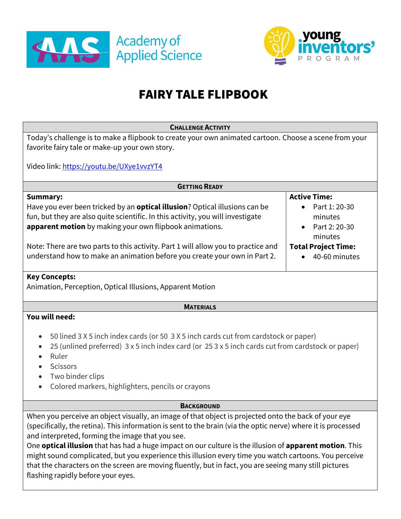



# FAIRY TALE FLIPBOOK

| <b>CHALLENGE ACTIVITY</b>                                                                                      |                            |
|----------------------------------------------------------------------------------------------------------------|----------------------------|
| Today's challenge is to make a flipbook to create your own animated cartoon. Choose a scene from your          |                            |
| favorite fairy tale or make-up your own story.                                                                 |                            |
|                                                                                                                |                            |
| Video link: https://youtu.be/UXye1vvzYT4                                                                       |                            |
|                                                                                                                |                            |
| <b>GETTING READY</b>                                                                                           |                            |
| <b>Summary:</b>                                                                                                | <b>Active Time:</b>        |
| Have you ever been tricked by an <b>optical illusion</b> ? Optical illusions can be                            | Part 1: 20-30              |
| fun, but they are also quite scientific. In this activity, you will investigate                                | minutes                    |
| apparent motion by making your own flipbook animations.                                                        | Part 2: 20-30              |
|                                                                                                                | minutes                    |
| Note: There are two parts to this activity. Part 1 will allow you to practice and                              | <b>Total Project Time:</b> |
| understand how to make an animation before you create your own in Part 2.                                      | 40-60 minutes              |
|                                                                                                                |                            |
| <b>Key Concepts:</b>                                                                                           |                            |
| Animation, Perception, Optical Illusions, Apparent Motion                                                      |                            |
|                                                                                                                |                            |
| <b>MATERIALS</b>                                                                                               |                            |
| You will need:                                                                                                 |                            |
|                                                                                                                |                            |
| 50 lined 3 X 5 inch index cards (or 50 3 X 5 inch cards cut from cardstock or paper)<br>$\bullet$              |                            |
| 25 (unlined preferred) 3 x 5 inch index card (or 25 3 x 5 inch cards cut from cardstock or paper)<br>$\bullet$ |                            |
| Ruler                                                                                                          |                            |
| <b>Scissors</b>                                                                                                |                            |
| Two binder clips                                                                                               |                            |
| Colored markers, highlighters, pencils or crayons                                                              |                            |
|                                                                                                                |                            |
| <b>BACKGROUND</b>                                                                                              |                            |
| When you perceive an object visually, an image of that object is projected onto the back of your eye           |                            |
| (specifically, the retina). This information is sent to the brain (via the optic nerve) where it is processed  |                            |
| and interpreted, forming the image that you see.                                                               |                            |
| One optical illusion that has had a huge impact on our culture is the illusion of apparent motion. This        |                            |
| might sound complicated, but you experience this illusion every time you watch cartoons. You perceive          |                            |
| that the characters on the screen are moving fluently, but in fact, you are seeing many still pictures         |                            |

flashing rapidly before your eyes.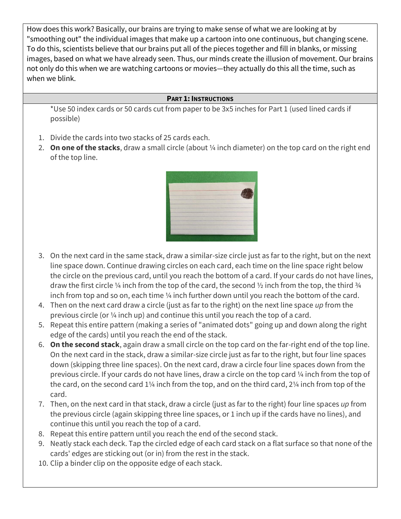How does this work? Basically, our brains are trying to make sense of what we are looking at by "smoothing out" the individual images that make up a cartoon into one continuous, but changing scene. To do this, scientists believe that our brains put all of the pieces together and fill in blanks, or missing images, based on what we have already seen. Thus, our minds create the illusion of movement. Our brains not only do this when we are watching cartoons or movies—they actually do this all the time, such as when we blink.

# **PART 1: INSTRUCTIONS**

\*Use 50 index cards or 50 cards cut from paper to be 3x5 inches for Part 1 (used lined cards if possible)

- 1. Divide the cards into two stacks of 25 cards each.
- 2. **On one of the stacks**, draw a small circle (about ¼ inch diameter) on the top card on the right end of the top line.



- 3. On the next card in the same stack, draw a similar-size circle just as far to the right, but on the next line space down. Continue drawing circles on each card, each time on the line space right below the circle on the previous card, until you reach the bottom of a card. If your cards do not have lines, draw the first circle  $\frac{1}{4}$  inch from the top of the card, the second  $\frac{1}{2}$  inch from the top, the third  $\frac{3}{4}$ inch from top and so on, each time 1/4 inch further down until you reach the bottom of the card.
- 4. Then on the next card draw a circle (just as far to the right) on the next line space *up* from the previous circle (or ¼ inch up) and continue this until you reach the top of a card.
- 5. Repeat this entire pattern (making a series of "animated dots" going up and down along the right edge of the cards) until you reach the end of the stack.
- 6. **On the second stack**, again draw a small circle on the top card on the far-right end of the top line. On the next card in the stack, draw a similar-size circle just as far to the right, but four line spaces down (skipping three line spaces). On the next card, draw a circle four line spaces down from the previous circle. If your cards do not have lines, draw a circle on the top card ¼ inch from the top of the card, on the second card 1¼ inch from the top, and on the third card, 2¼ inch from top of the card.
- 7. Then, on the next card in that stack, draw a circle (just as far to the right) four line spaces *up* from the previous circle (again skipping three line spaces, or 1 inch up if the cards have no lines), and continue this until you reach the top of a card.
- 8. Repeat this entire pattern until you reach the end of the second stack.
- 9. Neatly stack each deck. Tap the circled edge of each card stack on a flat surface so that none of the cards' edges are sticking out (or in) from the rest in the stack.
- 10. Clip a binder clip on the opposite edge of each stack.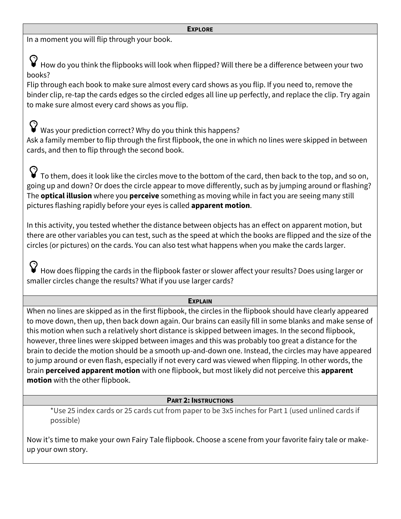#### **EXPLORE**

In a moment you will flip through your book.

How do you think the flipbooks will look when flipped? Will there be a difference between your two books?

Flip through each book to make sure almost every card shows as you flip. If you need to, remove the binder clip, re-tap the cards edges so the circled edges all line up perfectly, and replace the clip. Try again to make sure almost every card shows as you flip.

Was your prediction correct? Why do you think this happens? Ask a family member to flip through the first flipbook, the one in which no lines were skipped in between cards, and then to flip through the second book.

 $\bf{V}$  To them, does it look like the circles move to the bottom of the card, then back to the top, and so on, going up and down? Or does the circle appear to move differently, such as by jumping around or flashing? The **optical illusion** where you **perceive** something as moving while in fact you are seeing many still pictures flashing rapidly before your eyes is called **apparent motion**.

In this activity, you tested whether the distance between objects has an effect on apparent motion, but there are other variables you can test, such as the speed at which the books are flipped and the size of the circles (or pictures) on the cards. You can also test what happens when you make the cards larger.

How does flipping the cards in the flipbook faster or slower affect your results? Does using larger or smaller circles change the results? What if you use larger cards?

## **EXPLAIN**

When no lines are skipped as in the first flipbook, the circles in the flipbook should have clearly appeared to move down, then up, then back down again. Our brains can easily fill in some blanks and make sense of this motion when such a relatively short distance is skipped between images. In the second flipbook, however, three lines were skipped between images and this was probably too great a distance for the brain to decide the motion should be a smooth up-and-down one. Instead, the circles may have appeared to jump around or even flash, especially if not every card was viewed when flipping. In other words, the brain **perceived apparent motion** with one flipbook, but most likely did not perceive this **apparent motion** with the other flipbook.

## **PART 2: INSTRUCTIONS**

\*Use 25 index cards or 25 cards cut from paper to be 3x5 inches for Part 1 (used unlined cards if possible)

Now it's time to make your own Fairy Tale flipbook. Choose a scene from your favorite fairy tale or makeup your own story.